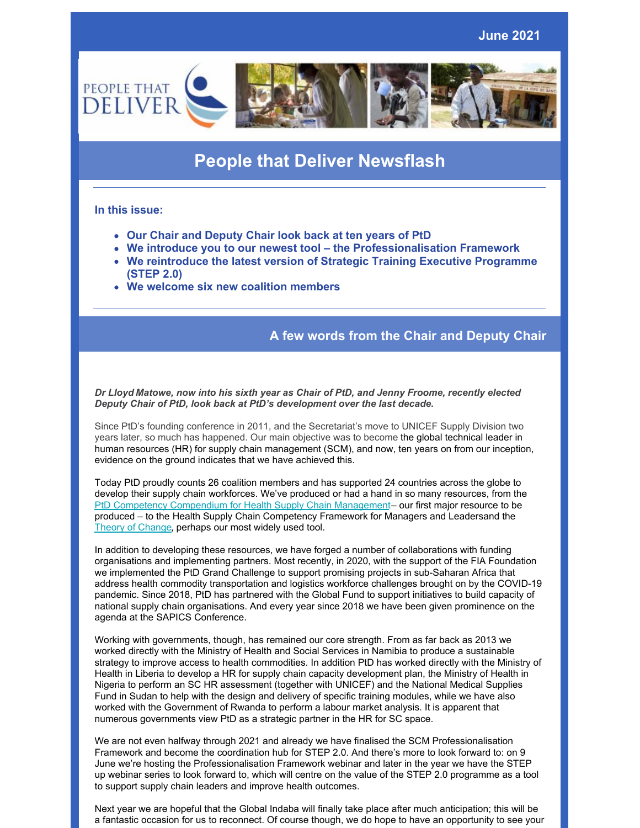

# **People that Deliver Newsflash**

## **In this issue:**

- **Our Chair and Deputy Chair look back at ten years of PtD**
- **We introduce you to our newest tool – the Professionalisation Framework**
- **We reintroduce the latest version of Strategic Training Executive Programme (STEP 2.0)**
- **We welcome six new coalition members**

# **A few words from the Chair and Deputy Chair**

*Dr Lloyd Matowe, now into his sixth year as Chair of PtD, and Jenny Froome, recently elected Deputy Chair of PtD, look back at PtD's development over the last decade.*

Since PtD's founding conference in 2011, and the Secretariat's move to UNICEF Supply Division two years later, so much has happened. Our main objective was to become the global technical leader in human resources (HR) for supply chain management (SCM), and now, ten years on from our inception, evidence on the ground indicates that we have achieved this.

Today PtD proudly counts 26 coalition members and has supported 24 countries across the globe to develop their supply chain workforces. We've produced or had a hand in so many resources, from the PtD Competency [Compendium](https://peoplethatdeliver.org/sites/default/files/resource_contents_files/Feb 14th FINAL PtD Public Health SCM Competency Compendium with ISBN and CC and publisher.pdf#overlay-context=resources/stepped-approach-documents) for Health Supply Chain Management– our first major resource to be produced – to the Health Supply Chain [Competency](https://peoplethatdeliver.org/ptd/download/file/fid/687) Framework for Managers and Leadersand the Theory of [Change](https://peoplethatdeliver.org/resources/building-human-resources-supply-chain-management-theory-change), perhaps our most widely used tool.

In addition to developing these resources, we have forged a number of collaborations with funding organisations and implementing partners. Most recently, in 2020, with the support of the FIA Foundation we implemented the PtD Grand Challenge to support promising projects in sub-Saharan Africa that address health commodity transportation and logistics workforce challenges brought on by the COVID-19 pandemic. Since 2018, PtD has partnered with the Global Fund to support initiatives to build capacity of national supply chain organisations. And every year since 2018 we have been given prominence on the agenda at the SAPICS Conference.

Working with governments, though, has remained our core strength. From as far back as 2013 we worked directly with the Ministry of Health and Social Services in Namibia to produce a sustainable strategy to improve access to health commodities. In addition PtD has worked directly with the Ministry of Health in Liberia to develop a HR for supply chain capacity development plan, the Ministry of Health in Nigeria to perform an SC HR assessment (together with UNICEF) and the National Medical Supplies Fund in Sudan to help with the design and delivery of specific training modules, while we have also worked with the Government of Rwanda to perform a labour market analysis. It is apparent that numerous governments view PtD as a strategic partner in the HR for SC space.

We are not even halfway through 2021 and already we have finalised the SCM Professionalisation Framework and become the coordination hub for STEP 2.0. And there's more to look forward to: on 9 June we're hosting the Professionalisation Framework webinar and later in the year we have the STEP up webinar series to look forward to, which will centre on the value of the STEP 2.0 programme as a tool to support supply chain leaders and improve health outcomes.

Next year we are hopeful that the Global Indaba will finally take place after much anticipation; this will be a fantastic occasion for us to reconnect. Of course though, we do hope to have an opportunity to see your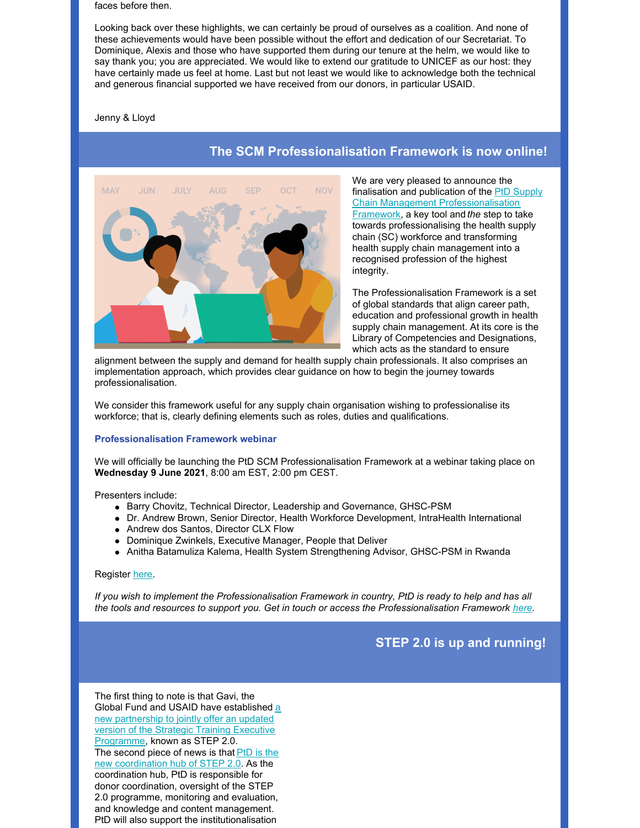faces before then.

Looking back over these highlights, we can certainly be proud of ourselves as a coalition. And none of these achievements would have been possible without the effort and dedication of our Secretariat. To Dominique, Alexis and those who have supported them during our tenure at the helm, we would like to say thank you; you are appreciated. We would like to extend our gratitude to UNICEF as our host: they have certainly made us feel at home. Last but not least we would like to acknowledge both the technical and generous financial supported we have received from our donors, in particular USAID.

Jenny & Lloyd



# **The SCM Professionalisation Framework is now online!**

We are very pleased to announce the finalisation and publication of the PtD Supply Chain Management [Professionalisation](https://peoplethatdeliver.org/resources/scm-professionalisation-framework) Framework, a key tool and *the* step to take towards professionalising the health supply chain (SC) workforce and transforming health supply chain management into a recognised profession of the highest integrity.

The Professionalisation Framework is a set of global standards that align career path, education and professional growth in health supply chain management. At its core is the Library of Competencies and Designations, which acts as the standard to ensure

alignment between the supply and demand for health supply chain professionals. It also comprises an implementation approach, which provides clear guidance on how to begin the journey towards professionalisation.

We consider this framework useful for any supply chain organisation wishing to professionalise its workforce; that is, clearly defining elements such as roles, duties and qualifications.

### **Professionalisation Framework webinar**

We will officially be launching the PtD SCM Professionalisation Framework at a webinar taking place on **Wednesday 9 June 2021**, 8:00 am EST, 2:00 pm CEST.

Presenters include:

- Barry Chovitz, Technical Director, Leadership and Governance, GHSC-PSM
- Dr. Andrew Brown, Senior Director, Health Workforce Development, IntraHealth International
- Andrew dos Santos, Director CLX Flow
- Dominique Zwinkels, Executive Manager, People that Deliver
- Anitha Batamuliza Kalema, Health System Strengthening Advisor, GHSC-PSM in Rwanda

## Register [here](https://unicef.zoom.us/webinar/register/8816220142233/WN_-idG-DihTIS6VR2IGl6VIA).

If you wish to implement the Professionalisation Framework in country, PtD is ready to help and has all *the tools and resources to support you. Get in touch or access the Professionalisation Framework [here](https://peoplethatdeliver.org/resources/scm-professionalisation-framework).*

# **STEP 2.0 is up and running!**

The first thing to note is that Gavi, the Global Fund and USAID have [established](https://peoplethatdeliver.org/step-press-release) a new partnership to jointly offer an updated version of the Strategic Training Executive Programme, known as STEP 2.0. The second piece of news is that PtD is the new [coordination](https://peoplethatdeliver.org/ptd-news/step-20-has-new-home) hub of STEP 2.0. As the coordination hub, PtD is responsible for donor coordination, oversight of the STEP 2.0 programme, monitoring and evaluation, and knowledge and content management. PtD will also support the institutionalisation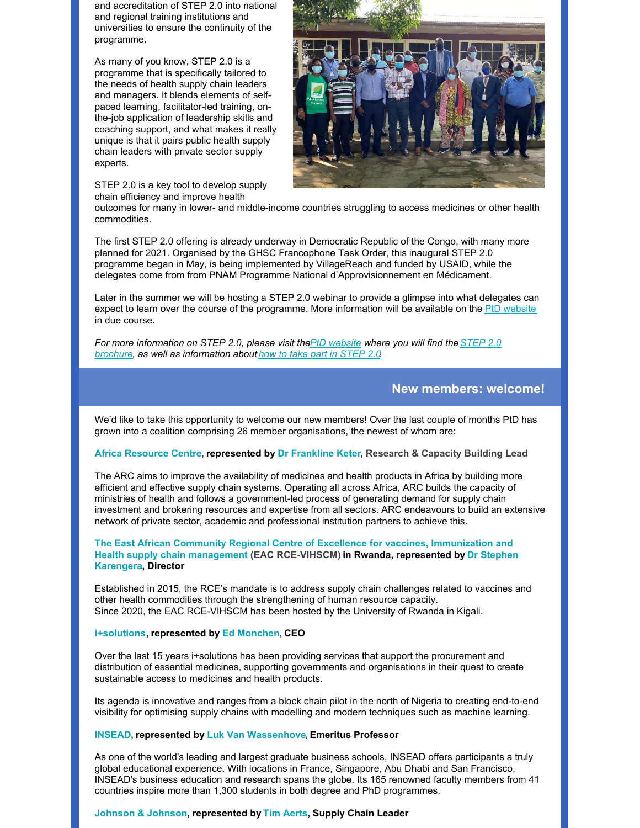and accreditation of STEP 2.0 into national and regional training institutions and universities to ensure the continuity of the programme.

As many of you know, STEP 2.0 is a programme that is specifically tailored to the needs of health supply chain leaders and managers. It blends elements of selfpaced learning, facilitator-led training, onthe-job application of leadership skills and coaching support, and what makes it really unique is that it pairs public health supply chain leaders with private sector supply experts.

STEP 2.0 is a key tool to develop supply chain efficiency and improve health



outcomes for many in lower- and middle-income countries struggling to access medicines or other health commodities.

The first STEP 2.0 offering is already underway in Democratic Republic of the Congo, with many more planned for 2021. Organised by the GHSC Francophone Task Order, this inaugural STEP 2.0 programme began in May, is being implemented by VillageReach and funded by USAID, while the delegates come from from PNAM Programme National d'Approvisionnement en Médicament.

Later in the summer we will be hosting a STEP 2.0 webinar to provide a glimpse into what delegates can expect to learn over the course of the programme. More information will be available on the PtD [website](https://peoplethatdeliver.org/) in due course.

*For more [information](https://peoplethatdeliver.org/download/file/fid/938) on STEP 2.0, please visit thePtD [website](https://peoplethatdeliver.org/country-partnership/strategic-training-executive-programme-step-20-0) where you will find theSTEP 2.0 brochure, as well as information about how to take part in [STEP](https://peoplethatdeliver.org/country-partnership/how-take-part-step-20) 2.0.*

## **New members: welcome!**

We'd like to take this opportunity to welcome our new members! Over the last couple of months PtD has grown into a coalition comprising 26 member organisations, the newest of whom are:

## **Africa [Resource](https://www.africaresourcecentre.org/) Centre, represented by Dr [Frankline](https://peoplethatdeliver.org/content/dr-frankline-ketter) Keter, Research & Capacity Building Lead**

The ARC aims to improve the availability of medicines and health products in Africa by building more efficient and effective supply chain systems. Operating all across Africa, ARC builds the capacity of ministries of health and follows a government-led process of generating demand for supply chain investment and brokering resources and expertise from all sectors. ARC endeavours to build an extensive network of private sector, academic and professional institution partners to achieve this.

## **The East African Community Regional Centre of Excellence for vaccines, Immunization and Health supply chain management (EAC [RCE-VIHSCM\)](https://www.hscm.ur.ac.rw/spip.php?rubrique1) in Rwanda, represented by Dr Stephen Karengera, Director**

Established in 2015, the RCE's mandate is to address supply chain challenges related to vaccines and other health commodities through the strengthening of human resource capacity. Since 2020, the EAC RCE-VIHSCM has been hosted by the University of Rwanda in Kigali.

## **[i+solutions](https://www.iplussolutions.org/), represented by Ed [Monchen](https://peoplethatdeliver.org/content/ed-monchen-msc), CEO**

Over the last 15 years i+solutions has been providing services that support the procurement and distribution of essential medicines, supporting governments and organisations in their quest to create sustainable access to medicines and health products.

Its agenda is innovative and ranges from a block chain pilot in the north of Nigeria to creating end-to-end visibility for optimising supply chains with modelling and modern techniques such as machine learning.

## **[INSEAD](https://www.insead.edu/), represented by Luk Van [Wassenhove](https://peoplethatdeliver.org/content/luk-van-wassenhove), Emeritus Professor**

As one of the world's leading and largest graduate business schools, INSEAD offers participants a truly global educational experience. With locations in France, Singapore, Abu Dhabi and San Francisco, INSEAD's business education and research spans the globe. Its 165 renowned faculty members from 41 countries inspire more than 1,300 students in both degree and PhD programmes.

### **[Johnson](https://www.jnj.com/) & Johnson, represented by Tim [Aerts](https://peoplethatdeliver.org/content/tim-aerts), Supply Chain Leader**